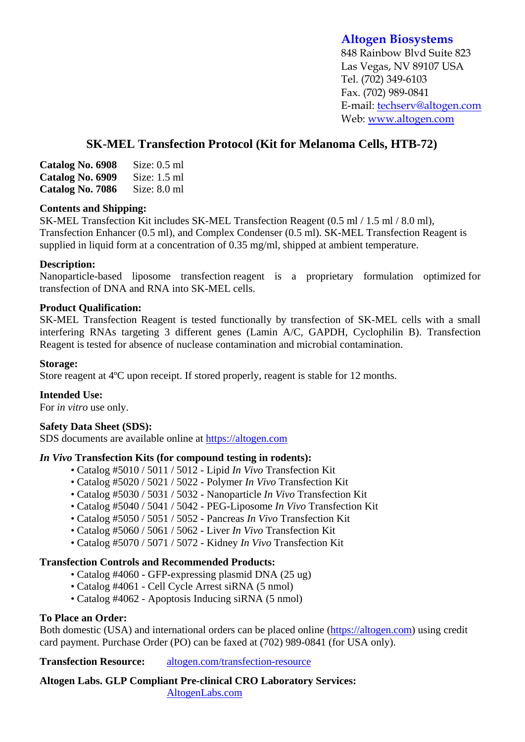# **Altogen Biosystems**

848 Rainbow Blvd Suite 823 Las Vegas, NV 89107 USA Tel. (702) 349-6103 Fax. (702) 989-0841 E-mail: techserv@altogen.com Web: www.altogen.com

# **SK-MEL Transfection Protocol (Kit for Melanoma Cells, HTB-72)**

| Catalog No. 6908 | Size: $0.5$ ml |
|------------------|----------------|
| Catalog No. 6909 | Size: $1.5$ ml |
| Catalog No. 7086 | Size: $8.0$ ml |

## **Contents and Shipping:**

SK-MEL Transfection Kit includes SK-MEL Transfection Reagent (0.5 ml / 1.5 ml / 8.0 ml), Transfection Enhancer (0.5 ml), and Complex Condenser (0.5 ml). SK-MEL Transfection Reagent is supplied in liquid form at a concentration of 0.35 mg/ml, shipped at ambient temperature.

## **Description:**

Nanoparticle-based liposome transfection reagent is a proprietary formulation optimized for transfection of DNA and RNA into SK-MEL cells.

#### **Product Qualification:**

SK-MEL Transfection Reagent is tested functionally by transfection of SK-MEL cells with a small interfering RNAs targeting 3 different genes (Lamin A/C, GAPDH, Cyclophilin B). Transfection Reagent is tested for absence of nuclease contamination and microbial contamination.

#### **Storage:**

Store reagent at 4ºC upon receipt. If stored properly, reagent is stable for 12 months.

## **Intended Use:**

For *in vitro* use only.

#### **Safety Data Sheet (SDS):**

SDS documents are available online at https://altogen.com

## *In Vivo* **Transfection Kits (for compound testing in rodents):**

- Catalog #5010 / 5011 / 5012 Lipid *In Vivo* Transfection Kit
- Catalog #5020 / 5021 / 5022 Polymer *In Vivo* Transfection Kit
- Catalog #5030 / 5031 / 5032 Nanoparticle *In Vivo* Transfection Kit
- Catalog #5040 / 5041 / 5042 PEG-Liposome *In Vivo* Transfection Kit
- Catalog #5050 / 5051 / 5052 Pancreas *In Vivo* Transfection Kit
- Catalog #5060 / 5061 / 5062 Liver *In Vivo* Transfection Kit
- Catalog #5070 / 5071 / 5072 Kidney *In Vivo* Transfection Kit

## **Transfection Controls and Recommended Products:**

- Catalog #4060 GFP-expressing plasmid DNA (25 ug)
- Catalog #4061 Cell Cycle Arrest siRNA (5 nmol)
- Catalog #4062 Apoptosis Inducing siRNA (5 nmol)

## **To Place an Order:**

Both domestic (USA) and international orders can be placed online (https://altogen.com) using credit card payment. Purchase Order (PO) can be faxed at (702) 989-0841 (for USA only).

**Transfection Resource:** altogen.com/transfection-resource

**Altogen Labs. GLP Compliant Pre-clinical CRO Laboratory Services:**  AltogenLabs.com